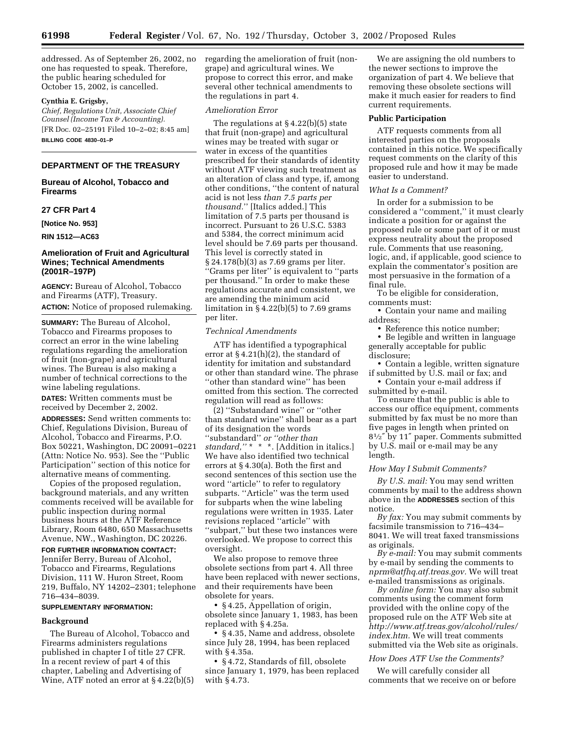addressed. As of September 26, 2002, no regarding the amelioration of fruit (nonone has requested to speak. Therefore, the public hearing scheduled for October 15, 2002, is cancelled.

## **Cynthia E. Grigsby,**

*Chief, Regulations Unit, Associate Chief Counsel (Income Tax & Accounting).* [FR Doc. 02–25191 Filed 10–2–02; 8:45 am] **BILLING CODE 4830–01–P**

## **DEPARTMENT OF THE TREASURY**

## **Bureau of Alcohol, Tobacco and Firearms**

## **27 CFR Part 4**

**[Notice No. 953]** 

# **RIN 1512—AC63**

# **Amelioration of Fruit and Agricultural Wines; Technical Amendments (2001R–197P)**

**AGENCY:** Bureau of Alcohol, Tobacco and Firearms (ATF), Treasury. **ACTION:** Notice of proposed rulemaking.

**SUMMARY:** The Bureau of Alcohol, Tobacco and Firearms proposes to correct an error in the wine labeling regulations regarding the amelioration of fruit (non-grape) and agricultural wines. The Bureau is also making a number of technical corrections to the wine labeling regulations.

**DATES:** Written comments must be received by December 2, 2002.

**ADDRESSES:** Send written comments to: Chief, Regulations Division, Bureau of Alcohol, Tobacco and Firearms, P.O. Box 50221, Washington, DC 20091–0221 (Attn: Notice No. 953). See the ''Public Participation'' section of this notice for alternative means of commenting.

Copies of the proposed regulation, background materials, and any written comments received will be available for public inspection during normal business hours at the ATF Reference Library, Room 6480, 650 Massachusetts Avenue, NW., Washington, DC 20226.

# **FOR FURTHER INFORMATION CONTACT:** Jennifer Berry, Bureau of Alcohol, Tobacco and Firearms, Regulations Division, 111 W. Huron Street, Room 219, Buffalo, NY 14202–2301; telephone

#### **SUPPLEMENTARY INFORMATION:**

#### **Background**

716–434–8039.

The Bureau of Alcohol, Tobacco and Firearms administers regulations published in chapter I of title 27 CFR. In a recent review of part 4 of this chapter, Labeling and Advertising of Wine, ATF noted an error at § 4.22(b)(5) grape) and agricultural wines. We propose to correct this error, and make several other technical amendments to the regulations in part 4.

#### *Amelioration Error*

The regulations at § 4.22(b)(5) state that fruit (non-grape) and agricultural wines may be treated with sugar or water in excess of the quantities prescribed for their standards of identity without ATF viewing such treatment as an alteration of class and type, if, among other conditions, ''the content of natural acid is not less *than 7.5 parts per thousand.*'' [Italics added.] This limitation of 7.5 parts per thousand is incorrect. Pursuant to 26 U.S.C. 5383 and 5384, the correct minimum acid level should be 7.69 parts per thousand. This level is correctly stated in § 24.178(b)(3) as 7.69 grams per liter. ''Grams per liter'' is equivalent to ''parts per thousand.'' In order to make these regulations accurate and consistent, we are amending the minimum acid limitation in  $\S 4.22(b)(5)$  to 7.69 grams per liter.

#### *Technical Amendments*

ATF has identified a typographical error at § 4.21(h)(2), the standard of identity for imitation and substandard or other than standard wine. The phrase ''other than standard wine'' has been omitted from this section. The corrected regulation will read as follows:

(2) ''Substandard wine'' or ''other than standard wine'' shall bear as a part of its designation the words ''substandard'' *or ''other than standard,''* \* \* \*. [Addition in italics.] We have also identified two technical errors at § 4.30(a). Both the first and second sentences of this section use the word ''article'' to refer to regulatory subparts. ''Article'' was the term used for subparts when the wine labeling regulations were written in 1935. Later revisions replaced ''article'' with ''subpart,'' but these two instances were overlooked. We propose to correct this oversight.

We also propose to remove three obsolete sections from part 4. All three have been replaced with newer sections, and their requirements have been obsolete for years.

• § 4.25, Appellation of origin, obsolete since January 1, 1983, has been replaced with § 4.25a.

• § 4.35, Name and address, obsolete since July 28, 1994, has been replaced with § 4.35a.

• §4.72, Standards of fill, obsolete since January 1, 1979, has been replaced with § 4.73.

We are assigning the old numbers to the newer sections to improve the organization of part 4. We believe that removing these obsolete sections will make it much easier for readers to find current requirements.

#### **Public Participation**

ATF requests comments from all interested parties on the proposals contained in this notice. We specifically request comments on the clarity of this proposed rule and how it may be made easier to understand.

#### *What Is a Comment?*

In order for a submission to be considered a ''comment,'' it must clearly indicate a position for or against the proposed rule or some part of it or must express neutrality about the proposed rule. Comments that use reasoning, logic, and, if applicable, good science to explain the commentator's position are most persuasive in the formation of a final rule.

To be eligible for consideration, comments must:

• Contain your name and mailing address;

• Reference this notice number; • Be legible and written in language

generally acceptable for public disclosure;

• Contain a legible, written signature if submitted by U.S. mail or fax; and

• Contain your e-mail address if submitted by e-mail.

To ensure that the public is able to access our office equipment, comments submitted by fax must be no more than five pages in length when printed on 81⁄2″ by 11″ paper. Comments submitted by U.S. mail or e-mail may be any length.

#### *How May I Submit Comments?*

*By U.S. mail:* You may send written comments by mail to the address shown above in the **ADDRESSES** section of this notice.

*By fax:* You may submit comments by facsimile transmission to 716–434– 8041. We will treat faxed transmissions as originals.

*By e-mail:* You may submit comments by e-mail by sending the comments to *nprm@atfhq.atf.treas.gov.* We will treat e-mailed transmissions as originals.

*By online form:* You may also submit comments using the comment form provided with the online copy of the proposed rule on the ATF Web site at *http://www.atf.treas.gov/alcohol/rules/ index.htm.* We will treat comments submitted via the Web site as originals.

## *How Does ATF Use the Comments?*

We will carefully consider all comments that we receive on or before